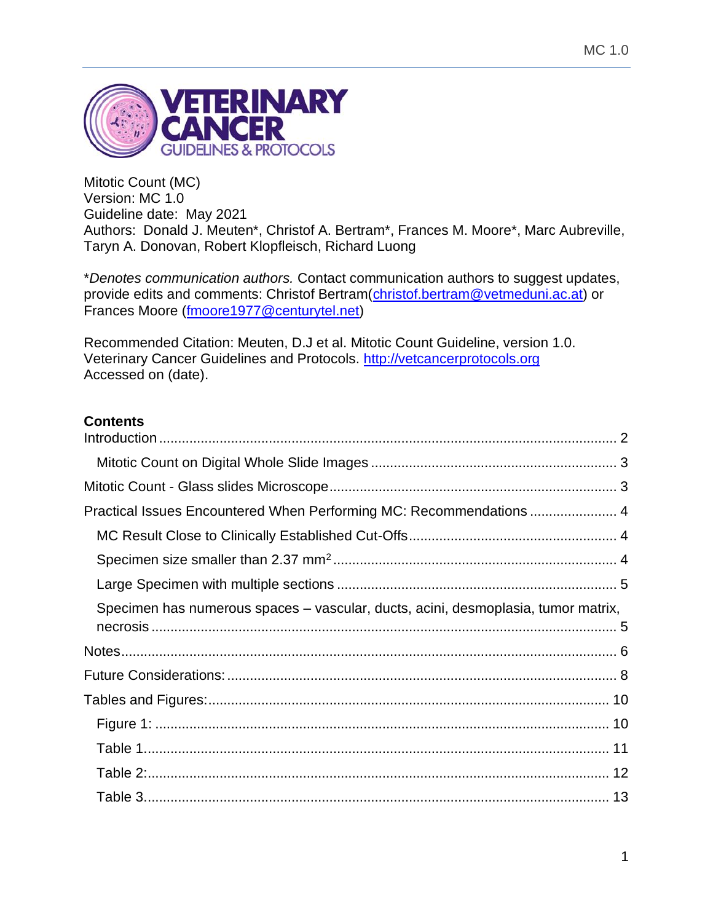

Mitotic Count (MC) Version: MC 1.0 Guideline date: May 2021 Authors: Donald J. Meuten\*, Christof A. Bertram\*, Frances M. Moore\*, Marc Aubreville, Taryn A. Donovan, Robert Klopfleisch, Richard Luong

\**Denotes communication authors.* Contact communication authors to suggest updates, provide edits and comments: Christof Bertram[\(christof.bertram@vetmeduni.ac.at\)](mailto:christof.bertram@vetmeduni.ac.at) or Frances Moore [\(fmoore1977@centurytel.net\)](mailto:fmoore1977@centurytel.net)

Recommended Citation: Meuten, D.J et al. Mitotic Count Guideline, version 1.0. Veterinary Cancer Guidelines and Protocols. [http://vetcancerprotocols.org](http://vetcancerprotocols.org/) Accessed on (date).

# **Contents**

| Practical Issues Encountered When Performing MC: Recommendations  4               |  |
|-----------------------------------------------------------------------------------|--|
|                                                                                   |  |
|                                                                                   |  |
|                                                                                   |  |
| Specimen has numerous spaces - vascular, ducts, acini, desmoplasia, tumor matrix, |  |
|                                                                                   |  |
|                                                                                   |  |
|                                                                                   |  |
|                                                                                   |  |
|                                                                                   |  |
|                                                                                   |  |
|                                                                                   |  |
|                                                                                   |  |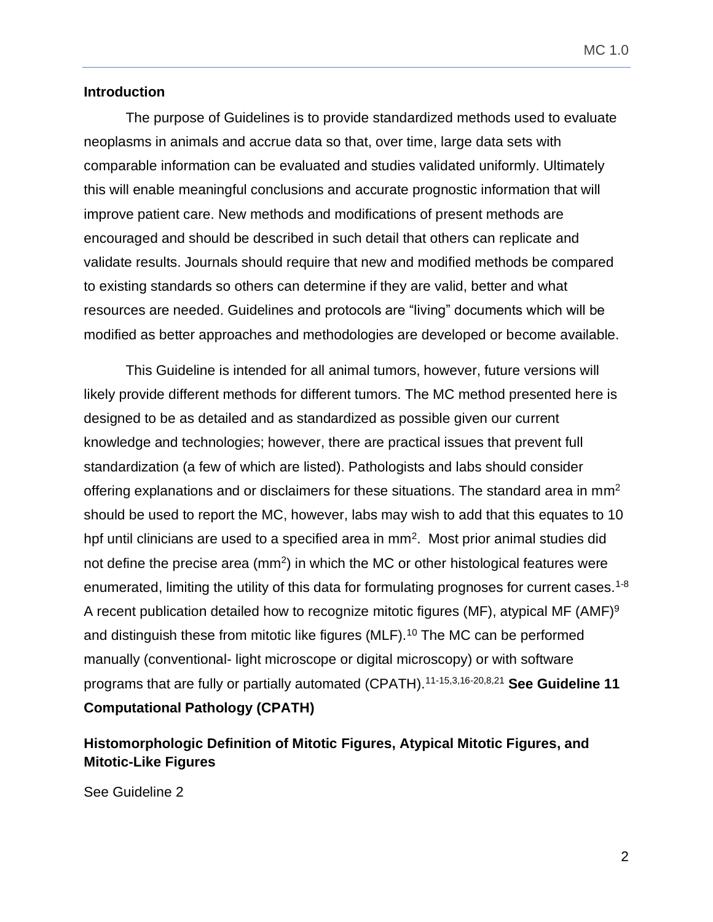#### <span id="page-1-0"></span>**Introduction**

The purpose of Guidelines is to provide standardized methods used to evaluate neoplasms in animals and accrue data so that, over time, large data sets with comparable information can be evaluated and studies validated uniformly. Ultimately this will enable meaningful conclusions and accurate prognostic information that will improve patient care. New methods and modifications of present methods are encouraged and should be described in such detail that others can replicate and validate results. Journals should require that new and modified methods be compared to existing standards so others can determine if they are valid, better and what resources are needed. Guidelines and protocols are "living" documents which will be modified as better approaches and methodologies are developed or become available.

This Guideline is intended for all animal tumors, however, future versions will likely provide different methods for different tumors. The MC method presented here is designed to be as detailed and as standardized as possible given our current knowledge and technologies; however, there are practical issues that prevent full standardization (a few of which are listed). Pathologists and labs should consider offering explanations and or disclaimers for these situations. The standard area in mm<sup>2</sup> should be used to report the MC, however, labs may wish to add that this equates to 10 hpf until clinicians are used to a specified area in  $mm<sup>2</sup>$ . Most prior animal studies did not define the precise area ( $mm<sup>2</sup>$ ) in which the MC or other histological features were enumerated, limiting the utility of this data for formulating prognoses for current cases.<sup>1-8</sup> A recent publication detailed how to recognize mitotic figures (MF), atypical MF (AMF)<sup>9</sup> and distinguish these from mitotic like figures (MLF).<sup>10</sup> The MC can be performed manually (conventional- light microscope or digital microscopy) or with software programs that are fully or partially automated (CPATH).11-15,3,16-20,8,21 **See Guideline 11 Computational Pathology (CPATH)**

# **Histomorphologic Definition of Mitotic Figures, Atypical Mitotic Figures, and Mitotic-Like Figures**

See Guideline 2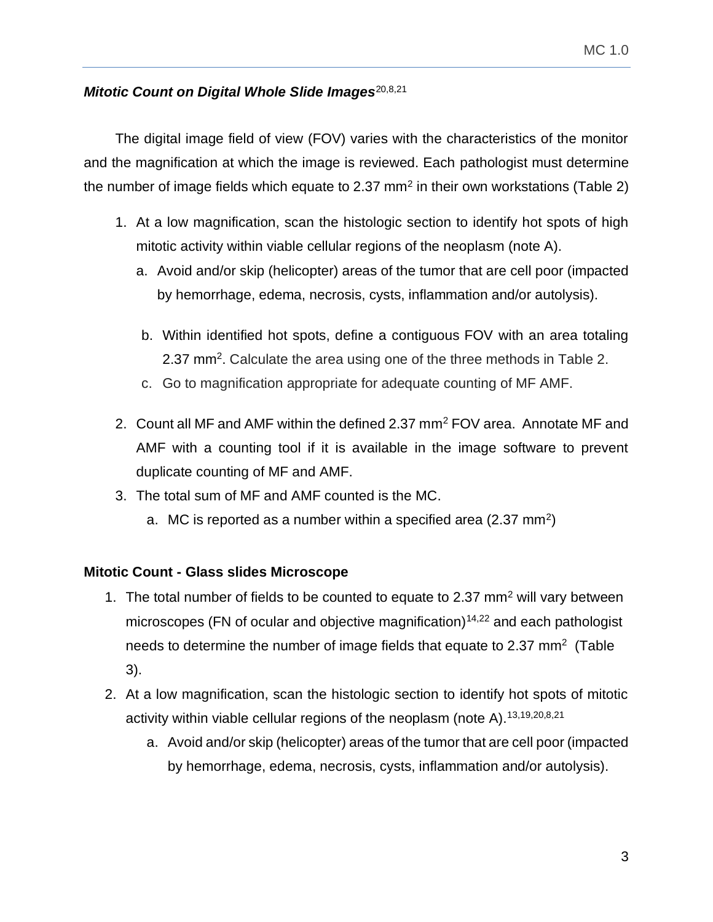# <span id="page-2-0"></span>**Mitotic Count on Digital Whole Slide Images**<sup>20,8,21</sup>

The digital image field of view (FOV) varies with the characteristics of the monitor and the magnification at which the image is reviewed. Each pathologist must determine the number of image fields which equate to 2.37 mm<sup>2</sup> in their own workstations (Table 2)

- 1. At a low magnification, scan the histologic section to identify hot spots of high mitotic activity within viable cellular regions of the neoplasm (note A).
	- a. Avoid and/or skip (helicopter) areas of the tumor that are cell poor (impacted by hemorrhage, edema, necrosis, cysts, inflammation and/or autolysis).
	- b. Within identified hot spots, define a contiguous FOV with an area totaling 2.37 mm<sup>2</sup>. Calculate the area using one of the three methods in Table 2.
	- c. Go to magnification appropriate for adequate counting of MF AMF.
- 2. Count all MF and AMF within the defined 2.37 mm<sup>2</sup> FOV area. Annotate MF and AMF with a counting tool if it is available in the image software to prevent duplicate counting of MF and AMF.
- 3. The total sum of MF and AMF counted is the MC.
	- a. MC is reported as a number within a specified area (2.37 mm<sup>2</sup>)

# <span id="page-2-1"></span>**Mitotic Count - Glass slides Microscope**

- 1. The total number of fields to be counted to equate to 2.37  $mm<sup>2</sup>$  will vary between microscopes (FN of ocular and objective magnification) $14,22$  and each pathologist needs to determine the number of image fields that equate to 2.37 mm<sup>2</sup> (Table 3).
- 2. At a low magnification, scan the histologic section to identify hot spots of mitotic activity within viable cellular regions of the neoplasm (note A).<sup>13,19,20,8,21</sup>
	- a. Avoid and/or skip (helicopter) areas of the tumor that are cell poor (impacted by hemorrhage, edema, necrosis, cysts, inflammation and/or autolysis).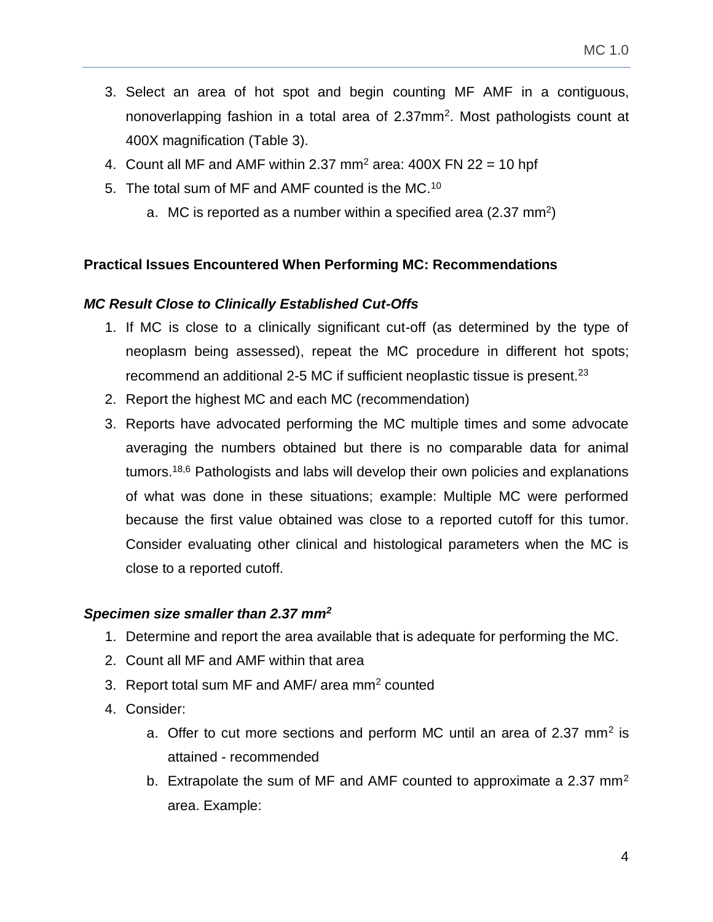- 3. Select an area of hot spot and begin counting MF AMF in a contiguous, nonoverlapping fashion in a total area of 2.37mm<sup>2</sup>. Most pathologists count at 400X magnification (Table 3).
- 4. Count all MF and AMF within 2.37 mm<sup>2</sup> area:  $400X$  FN 22 = 10 hpf
- 5. The total sum of MF and AMF counted is the MC.<sup>10</sup>
	- a. MC is reported as a number within a specified area (2.37 mm<sup>2</sup>)

## <span id="page-3-0"></span>**Practical Issues Encountered When Performing MC: Recommendations**

## <span id="page-3-1"></span>*MC Result Close to Clinically Established Cut-Offs*

- 1. If MC is close to a clinically significant cut-off (as determined by the type of neoplasm being assessed), repeat the MC procedure in different hot spots; recommend an additional 2-5 MC if sufficient neoplastic tissue is present.<sup>23</sup>
- 2. Report the highest MC and each MC (recommendation)
- 3. Reports have advocated performing the MC multiple times and some advocate averaging the numbers obtained but there is no comparable data for animal tumors.18,6 Pathologists and labs will develop their own policies and explanations of what was done in these situations; example: Multiple MC were performed because the first value obtained was close to a reported cutoff for this tumor. Consider evaluating other clinical and histological parameters when the MC is close to a reported cutoff.

## <span id="page-3-2"></span>*Specimen size smaller than 2.37 mm<sup>2</sup>*

- 1. Determine and report the area available that is adequate for performing the MC.
- 2. Count all MF and AMF within that area
- 3. Report total sum MF and AMF/ area mm<sup>2</sup> counted
- 4. Consider:
	- a. Offer to cut more sections and perform MC until an area of 2.37 mm<sup>2</sup> is attained - recommended
	- b. Extrapolate the sum of MF and AMF counted to approximate a 2.37  $mm<sup>2</sup>$ area. Example: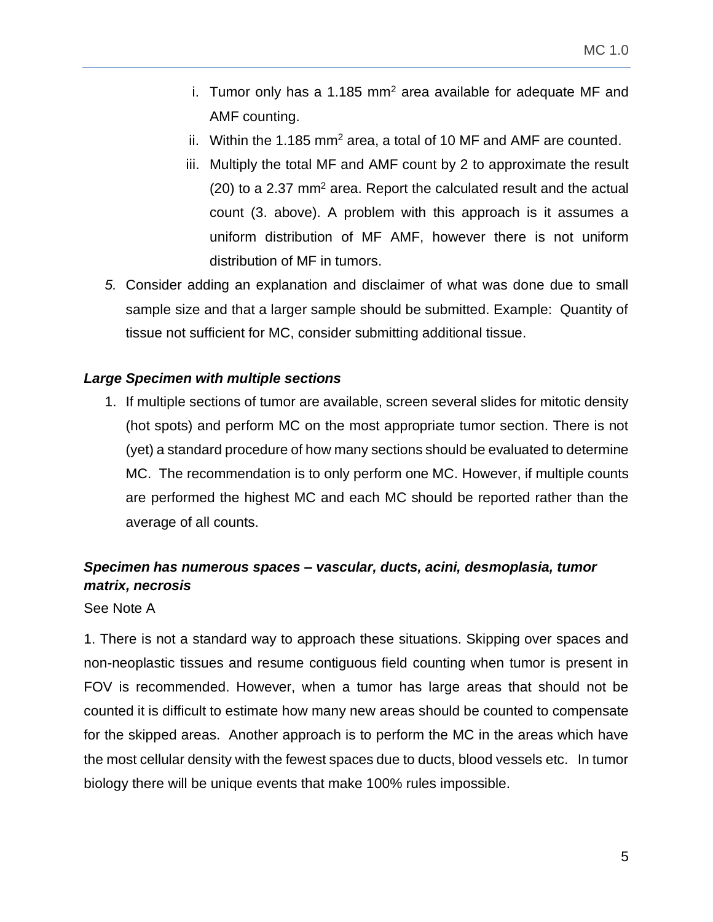- i. Tumor only has a 1.185 mm<sup>2</sup> area available for adequate MF and AMF counting.
- ii. Within the 1.185 mm<sup>2</sup> area, a total of 10 MF and AMF are counted.
- iii. Multiply the total MF and AMF count by 2 to approximate the result (20) to a 2.37 mm<sup>2</sup> area. Report the calculated result and the actual count (3. above). A problem with this approach is it assumes a uniform distribution of MF AMF, however there is not uniform distribution of MF in tumors.
- *5.* Consider adding an explanation and disclaimer of what was done due to small sample size and that a larger sample should be submitted. Example: Quantity of tissue not sufficient for MC, consider submitting additional tissue.

## <span id="page-4-0"></span>*Large Specimen with multiple sections*

1. If multiple sections of tumor are available, screen several slides for mitotic density (hot spots) and perform MC on the most appropriate tumor section. There is not (yet) a standard procedure of how many sections should be evaluated to determine MC. The recommendation is to only perform one MC. However, if multiple counts are performed the highest MC and each MC should be reported rather than the average of all counts.

# <span id="page-4-1"></span>*Specimen has numerous spaces – vascular, ducts, acini, desmoplasia, tumor matrix, necrosis*

See Note A

1. There is not a standard way to approach these situations. Skipping over spaces and non-neoplastic tissues and resume contiguous field counting when tumor is present in FOV is recommended. However, when a tumor has large areas that should not be counted it is difficult to estimate how many new areas should be counted to compensate for the skipped areas. Another approach is to perform the MC in the areas which have the most cellular density with the fewest spaces due to ducts, blood vessels etc. In tumor biology there will be unique events that make 100% rules impossible.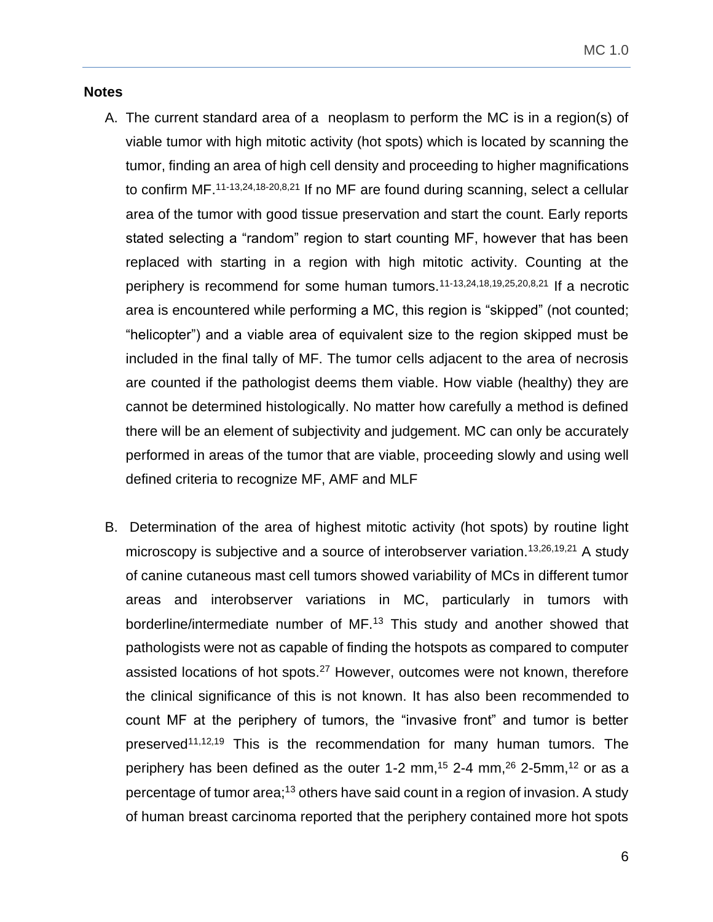#### <span id="page-5-0"></span>**Notes**

- A. The current standard area of a neoplasm to perform the MC is in a region(s) of viable tumor with high mitotic activity (hot spots) which is located by scanning the tumor, finding an area of high cell density and proceeding to higher magnifications to confirm  $MF.$   $11-13,24,18-20,8,21$  If no MF are found during scanning, select a cellular area of the tumor with good tissue preservation and start the count. Early reports stated selecting a "random" region to start counting MF, however that has been replaced with starting in a region with high mitotic activity. Counting at the periphery is recommend for some human tumors.11-13,24,18,19,25,20,8,21 If a necrotic area is encountered while performing a MC, this region is "skipped" (not counted; "helicopter") and a viable area of equivalent size to the region skipped must be included in the final tally of MF. The tumor cells adjacent to the area of necrosis are counted if the pathologist deems them viable. How viable (healthy) they are cannot be determined histologically. No matter how carefully a method is defined there will be an element of subjectivity and judgement. MC can only be accurately performed in areas of the tumor that are viable, proceeding slowly and using well defined criteria to recognize MF, AMF and MLF
- B. Determination of the area of highest mitotic activity (hot spots) by routine light microscopy is subjective and a source of interobserver variation.<sup>13,26,19,21</sup> A study of canine cutaneous mast cell tumors showed variability of MCs in different tumor areas and interobserver variations in MC, particularly in tumors with borderline/intermediate number of MF.<sup>13</sup> This study and another showed that pathologists were not as capable of finding the hotspots as compared to computer assisted locations of hot spots.<sup>27</sup> However, outcomes were not known, therefore the clinical significance of this is not known. It has also been recommended to count MF at the periphery of tumors, the "invasive front" and tumor is better preserved<sup>11,12,19</sup> This is the recommendation for many human tumors. The periphery has been defined as the outer 1-2 mm,<sup>15</sup> 2-4 mm,<sup>26</sup> 2-5mm,<sup>12</sup> or as a percentage of tumor area;<sup>13</sup> others have said count in a region of invasion. A study of human breast carcinoma reported that the periphery contained more hot spots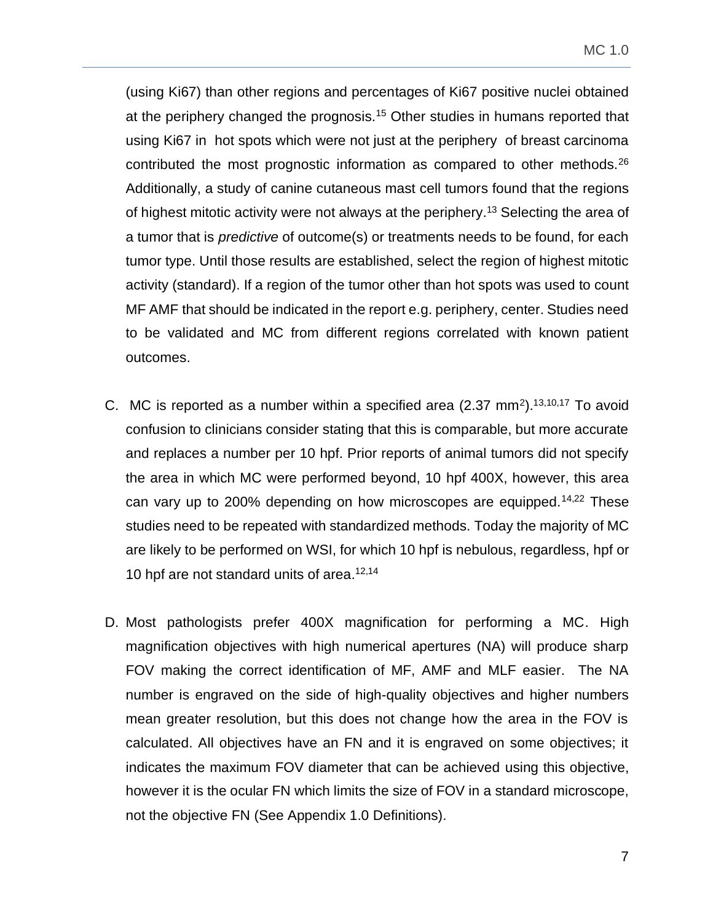(using Ki67) than other regions and percentages of Ki67 positive nuclei obtained at the periphery changed the prognosis.<sup>15</sup> Other studies in humans reported that using Ki67 in hot spots which were not just at the periphery of breast carcinoma contributed the most prognostic information as compared to other methods.<sup>26</sup> Additionally, a study of canine cutaneous mast cell tumors found that the regions of highest mitotic activity were not always at the periphery.<sup>13</sup> Selecting the area of a tumor that is *predictive* of outcome(s) or treatments needs to be found, for each tumor type. Until those results are established, select the region of highest mitotic activity (standard). If a region of the tumor other than hot spots was used to count MF AMF that should be indicated in the report e.g. periphery, center. Studies need to be validated and MC from different regions correlated with known patient outcomes.

- C. MC is reported as a number within a specified area  $(2.37 \text{ mm}^2)$ .<sup>13,10,17</sup> To avoid confusion to clinicians consider stating that this is comparable, but more accurate and replaces a number per 10 hpf. Prior reports of animal tumors did not specify the area in which MC were performed beyond, 10 hpf 400X, however, this area can vary up to 200% depending on how microscopes are equipped.<sup>14,22</sup> These studies need to be repeated with standardized methods. Today the majority of MC are likely to be performed on WSI, for which 10 hpf is nebulous, regardless, hpf or 10 hpf are not standard units of area.<sup>12,14</sup>
- D. Most pathologists prefer 400X magnification for performing a MC. High magnification objectives with high numerical apertures (NA) will produce sharp FOV making the correct identification of MF, AMF and MLF easier. The NA number is engraved on the side of high-quality objectives and higher numbers mean greater resolution, but this does not change how the area in the FOV is calculated. All objectives have an FN and it is engraved on some objectives; it indicates the maximum FOV diameter that can be achieved using this objective, however it is the ocular FN which limits the size of FOV in a standard microscope, not the objective FN (See Appendix 1.0 Definitions).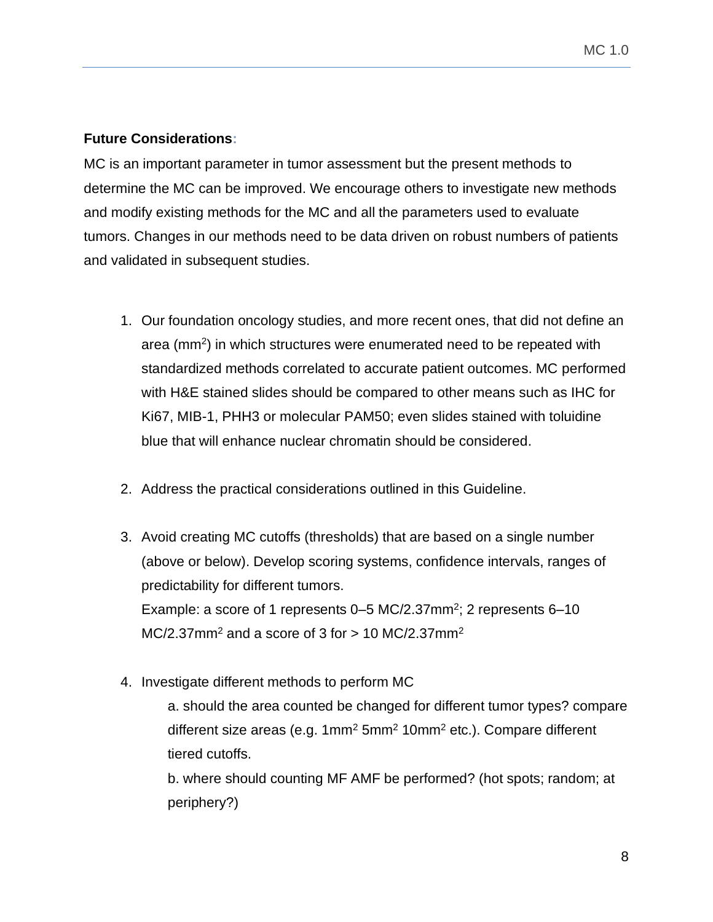## <span id="page-7-0"></span>**Future Considerations:**

MC is an important parameter in tumor assessment but the present methods to determine the MC can be improved. We encourage others to investigate new methods and modify existing methods for the MC and all the parameters used to evaluate tumors. Changes in our methods need to be data driven on robust numbers of patients and validated in subsequent studies.

- 1. Our foundation oncology studies, and more recent ones, that did not define an area (mm<sup>2</sup> ) in which structures were enumerated need to be repeated with standardized methods correlated to accurate patient outcomes. MC performed with H&E stained slides should be compared to other means such as IHC for Ki67, MIB-1, PHH3 or molecular PAM50; even slides stained with toluidine blue that will enhance nuclear chromatin should be considered.
- 2. Address the practical considerations outlined in this Guideline.
- 3. Avoid creating MC cutoffs (thresholds) that are based on a single number (above or below). Develop scoring systems, confidence intervals, ranges of predictability for different tumors. Example: a score of 1 represents  $0-5$  MC/2.37mm<sup>2</sup>; 2 represents  $6-10$  $MC/2.37$ mm<sup>2</sup> and a score of 3 for  $> 10$  MC/2.37mm<sup>2</sup>
- 4. Investigate different methods to perform MC

a. should the area counted be changed for different tumor types? compare different size areas (e.g.  $1mm<sup>2</sup> 5mm<sup>2</sup> 10mm<sup>2</sup> etc.). Compare different$ tiered cutoffs.

b. where should counting MF AMF be performed? (hot spots; random; at periphery?)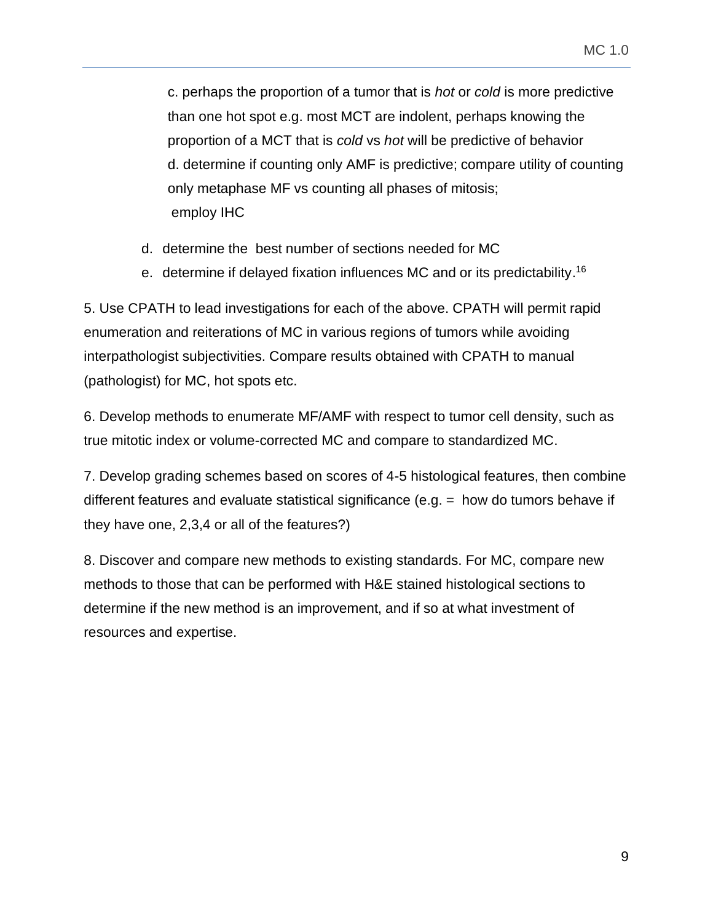c. perhaps the proportion of a tumor that is *hot* or *cold* is more predictive than one hot spot e.g. most MCT are indolent, perhaps knowing the proportion of a MCT that is *cold* vs *hot* will be predictive of behavior d. determine if counting only AMF is predictive; compare utility of counting only metaphase MF vs counting all phases of mitosis; employ IHC

- d. determine the best number of sections needed for MC
- e. determine if delayed fixation influences MC and or its predictability.<sup>16</sup>

5. Use CPATH to lead investigations for each of the above. CPATH will permit rapid enumeration and reiterations of MC in various regions of tumors while avoiding interpathologist subjectivities. Compare results obtained with CPATH to manual (pathologist) for MC, hot spots etc.

6. Develop methods to enumerate MF/AMF with respect to tumor cell density, such as true mitotic index or volume-corrected MC and compare to standardized MC.

7. Develop grading schemes based on scores of 4-5 histological features, then combine different features and evaluate statistical significance (e.g.  $=$  how do tumors behave if they have one, 2,3,4 or all of the features?)

8. Discover and compare new methods to existing standards. For MC, compare new methods to those that can be performed with H&E stained histological sections to determine if the new method is an improvement, and if so at what investment of resources and expertise.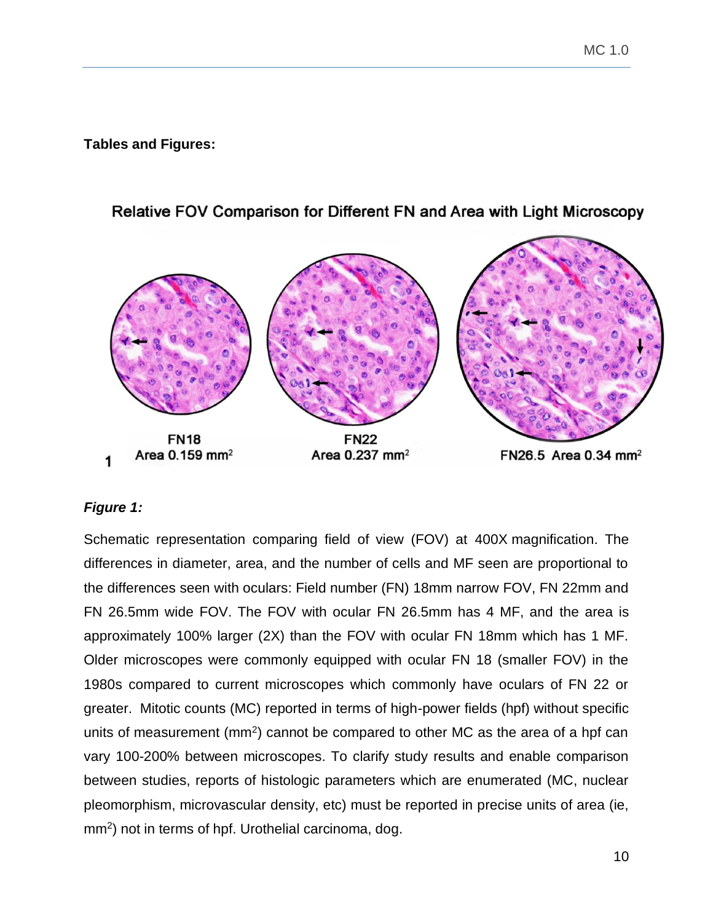<span id="page-9-0"></span>**Tables and Figures:**



# Relative FOV Comparison for Different FN and Area with Light Microscopy

## <span id="page-9-1"></span>*Figure 1:*

Schematic representation comparing field of view (FOV) at 400X magnification. The differences in diameter, area, and the number of cells and MF seen are proportional to the differences seen with oculars: Field number (FN) 18mm narrow FOV, FN 22mm and FN 26.5mm wide FOV. The FOV with ocular FN 26.5mm has 4 MF, and the area is approximately 100% larger (2X) than the FOV with ocular FN 18mm which has 1 MF. Older microscopes were commonly equipped with ocular FN 18 (smaller FOV) in the 1980s compared to current microscopes which commonly have oculars of FN 22 or greater. Mitotic counts (MC) reported in terms of high-power fields (hpf) without specific units of measurement  $(mm^2)$  cannot be compared to other MC as the area of a hpf can vary 100-200% between microscopes. To clarify study results and enable comparison between studies, reports of histologic parameters which are enumerated (MC, nuclear pleomorphism, microvascular density, etc) must be reported in precise units of area (ie, mm<sup>2</sup>) not in terms of hpf. Urothelial carcinoma, dog.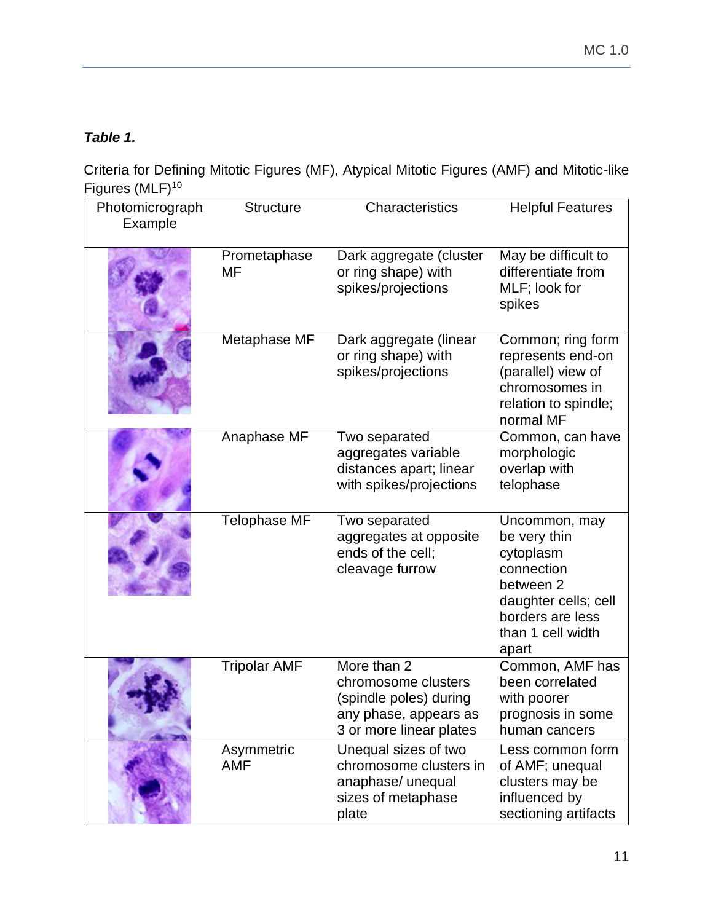# <span id="page-10-0"></span>*Table 1.*

Criteria for Defining Mitotic Figures (MF), Atypical Mitotic Figures (AMF) and Mitotic-like Figures (MLF)<sup>10</sup>

| Photomicrograph<br>Example | <b>Structure</b>    | Characteristics                                                                                                  | <b>Helpful Features</b>                                                                                                                         |
|----------------------------|---------------------|------------------------------------------------------------------------------------------------------------------|-------------------------------------------------------------------------------------------------------------------------------------------------|
|                            | Prometaphase<br>MF  | Dark aggregate (cluster<br>or ring shape) with<br>spikes/projections                                             | May be difficult to<br>differentiate from<br>MLF; look for<br>spikes                                                                            |
|                            | Metaphase MF        | Dark aggregate (linear<br>or ring shape) with<br>spikes/projections                                              | Common; ring form<br>represents end-on<br>(parallel) view of<br>chromosomes in<br>relation to spindle;<br>normal MF                             |
|                            | Anaphase MF         | Two separated<br>aggregates variable<br>distances apart; linear<br>with spikes/projections                       | Common, can have<br>morphologic<br>overlap with<br>telophase                                                                                    |
|                            | <b>Telophase MF</b> | Two separated<br>aggregates at opposite<br>ends of the cell;<br>cleavage furrow                                  | Uncommon, may<br>be very thin<br>cytoplasm<br>connection<br>between 2<br>daughter cells; cell<br>borders are less<br>than 1 cell width<br>apart |
|                            | <b>Tripolar AMF</b> | More than 2<br>chromosome clusters<br>(spindle poles) during<br>any phase, appears as<br>3 or more linear plates | Common, AMF has<br>been correlated<br>with poorer<br>prognosis in some<br>human cancers                                                         |
|                            | Asymmetric<br>AMF   | Unequal sizes of two<br>chromosome clusters in<br>anaphase/ unequal<br>sizes of metaphase<br>plate               | Less common form<br>of AMF; unequal<br>clusters may be<br>influenced by<br>sectioning artifacts                                                 |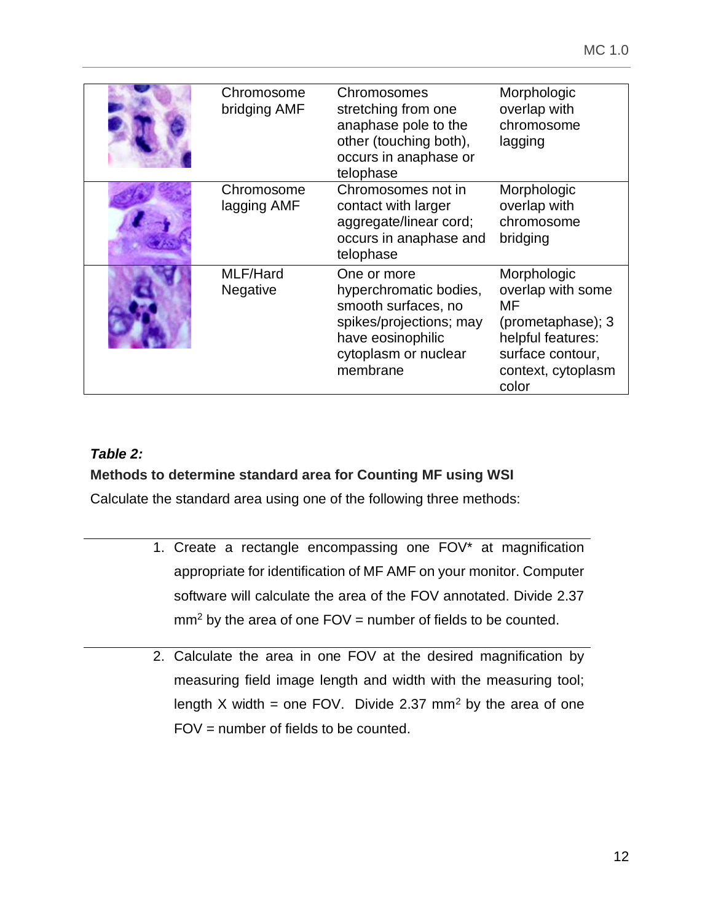| Chromosome<br>bridging AMF | Chromosomes<br>stretching from one<br>anaphase pole to the<br>other (touching both),<br>occurs in anaphase or<br>telophase                       | Morphologic<br>overlap with<br>chromosome<br>lagging                                                                                |
|----------------------------|--------------------------------------------------------------------------------------------------------------------------------------------------|-------------------------------------------------------------------------------------------------------------------------------------|
| Chromosome<br>lagging AMF  | Chromosomes not in<br>contact with larger<br>aggregate/linear cord;<br>occurs in anaphase and<br>telophase                                       | Morphologic<br>overlap with<br>chromosome<br>bridging                                                                               |
| MLF/Hard<br>Negative       | One or more<br>hyperchromatic bodies,<br>smooth surfaces, no<br>spikes/projections; may<br>have eosinophilic<br>cytoplasm or nuclear<br>membrane | Morphologic<br>overlap with some<br>МF<br>(prometaphase); 3<br>helpful features:<br>surface contour,<br>context, cytoplasm<br>color |

# <span id="page-11-0"></span>*Table 2:*

# **Methods to determine standard area for Counting MF using WSI**

Calculate the standard area using one of the following three methods:

- 1. Create a rectangle encompassing one FOV\* at magnification appropriate for identification of MF AMF on your monitor. Computer software will calculate the area of the FOV annotated. Divide 2.37  $mm<sup>2</sup>$  by the area of one FOV = number of fields to be counted.
- 2. Calculate the area in one FOV at the desired magnification by measuring field image length and width with the measuring tool; length X width = one FOV. Divide 2.37 mm<sup>2</sup> by the area of one FOV = number of fields to be counted.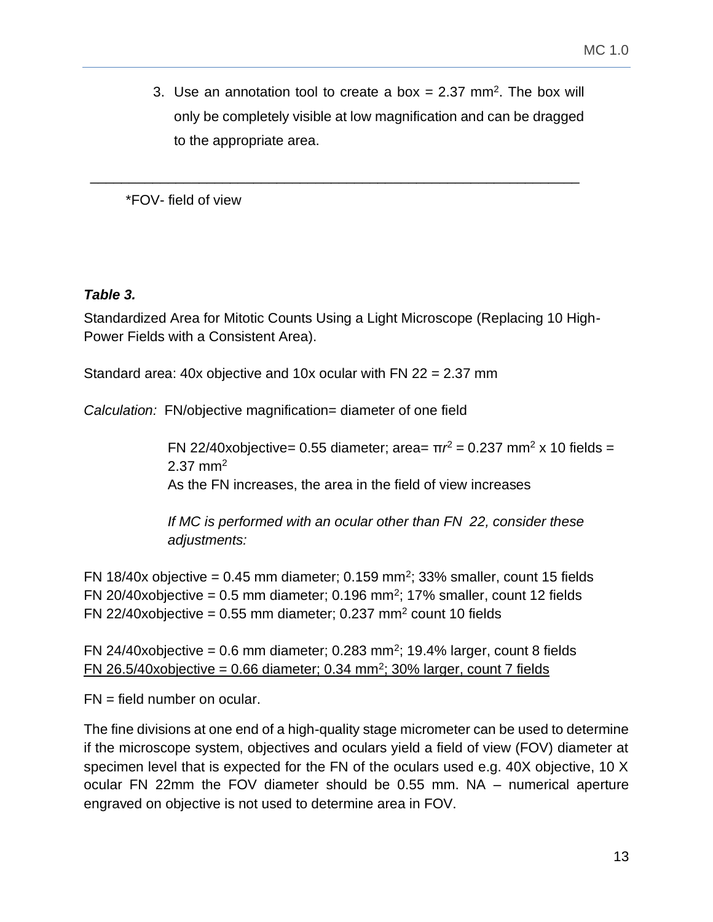3. Use an annotation tool to create a box  $= 2.37$  mm<sup>2</sup>. The box will only be completely visible at low magnification and can be dragged to the appropriate area.

\*FOV- field of view

## <span id="page-12-0"></span>*Table 3.*

Standardized Area for Mitotic Counts Using a Light Microscope (Replacing 10 High-Power Fields with a Consistent Area).

\_\_\_\_\_\_\_\_\_\_\_\_\_\_\_\_\_\_\_\_\_\_\_\_\_\_\_\_\_\_\_\_\_\_\_\_\_\_\_\_\_\_\_\_\_\_\_\_\_\_\_\_\_\_\_\_\_\_\_\_\_\_\_

Standard area: 40x objective and 10x ocular with FN 22 = 2.37 mm

*Calculation:* FN/objective magnification= diameter of one field

FN 22/40xobjective= 0.55 diameter; area=  $\pi r^2$  = 0.237 mm<sup>2</sup> x 10 fields = 2.37 mm<sup>2</sup> As the FN increases, the area in the field of view increases

*If MC is performed with an ocular other than FN 22, consider these adjustments:*

FN 18/40x objective = 0.45 mm diameter; 0.159 mm<sup>2</sup>; 33% smaller, count 15 fields FN 20/40xobjective = 0.5 mm diameter; 0.196 mm<sup>2</sup>; 17% smaller, count 12 fields FN 22/40xobjective =  $0.55$  mm diameter; 0.237 mm<sup>2</sup> count 10 fields

FN 24/40xobjective = 0.6 mm diameter; 0.283 mm<sup>2</sup>; 19.4% larger, count 8 fields  $FN$  26.5/40xobjective = 0.66 diameter; 0.34 mm<sup>2</sup>; 30% larger, count 7 fields

FN = field number on ocular.

The fine divisions at one end of a high-quality stage micrometer can be used to determine if the microscope system, objectives and oculars yield a field of view (FOV) diameter at specimen level that is expected for the FN of the oculars used e.g. 40X objective, 10 X ocular FN 22mm the FOV diameter should be 0.55 mm. NA – numerical aperture engraved on objective is not used to determine area in FOV.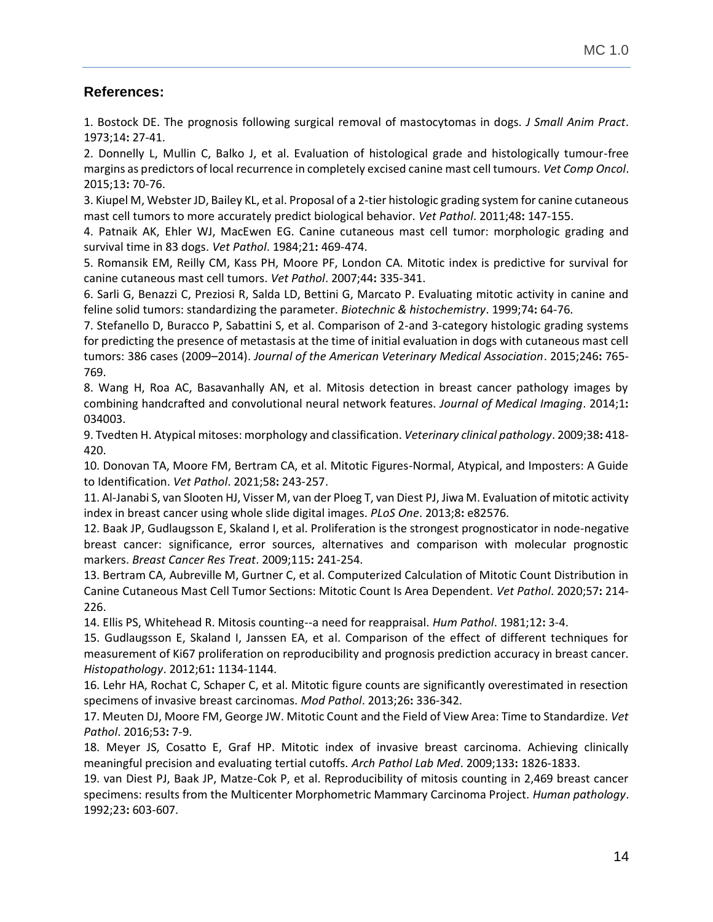## **References:**

1. Bostock DE. The prognosis following surgical removal of mastocytomas in dogs. *J Small Anim Pract*. 1973;14**:** 27-41.

2. Donnelly L, Mullin C, Balko J, et al. Evaluation of histological grade and histologically tumour-free margins as predictors of local recurrence in completely excised canine mast cell tumours. *Vet Comp Oncol*. 2015;13**:** 70-76.

3. Kiupel M, Webster JD, Bailey KL, et al. Proposal of a 2-tier histologic grading system for canine cutaneous mast cell tumors to more accurately predict biological behavior. *Vet Pathol*. 2011;48**:** 147-155.

4. Patnaik AK, Ehler WJ, MacEwen EG. Canine cutaneous mast cell tumor: morphologic grading and survival time in 83 dogs. *Vet Pathol*. 1984;21**:** 469-474.

5. Romansik EM, Reilly CM, Kass PH, Moore PF, London CA. Mitotic index is predictive for survival for canine cutaneous mast cell tumors. *Vet Pathol*. 2007;44**:** 335-341.

6. Sarli G, Benazzi C, Preziosi R, Salda LD, Bettini G, Marcato P. Evaluating mitotic activity in canine and feline solid tumors: standardizing the parameter. *Biotechnic & histochemistry*. 1999;74**:** 64-76.

7. Stefanello D, Buracco P, Sabattini S, et al. Comparison of 2-and 3-category histologic grading systems for predicting the presence of metastasis at the time of initial evaluation in dogs with cutaneous mast cell tumors: 386 cases (2009–2014). *Journal of the American Veterinary Medical Association*. 2015;246**:** 765- 769.

8. Wang H, Roa AC, Basavanhally AN, et al. Mitosis detection in breast cancer pathology images by combining handcrafted and convolutional neural network features. *Journal of Medical Imaging*. 2014;1**:**  034003.

9. Tvedten H. Atypical mitoses: morphology and classification. *Veterinary clinical pathology*. 2009;38**:** 418- 420.

10. Donovan TA, Moore FM, Bertram CA, et al. Mitotic Figures-Normal, Atypical, and Imposters: A Guide to Identification. *Vet Pathol*. 2021;58**:** 243-257.

11. Al-Janabi S, van Slooten HJ, Visser M, van der Ploeg T, van Diest PJ, Jiwa M. Evaluation of mitotic activity index in breast cancer using whole slide digital images. *PLoS One*. 2013;8**:** e82576.

12. Baak JP, Gudlaugsson E, Skaland I, et al. Proliferation is the strongest prognosticator in node-negative breast cancer: significance, error sources, alternatives and comparison with molecular prognostic markers. *Breast Cancer Res Treat*. 2009;115**:** 241-254.

13. Bertram CA, Aubreville M, Gurtner C, et al. Computerized Calculation of Mitotic Count Distribution in Canine Cutaneous Mast Cell Tumor Sections: Mitotic Count Is Area Dependent. *Vet Pathol*. 2020;57**:** 214- 226.

14. Ellis PS, Whitehead R. Mitosis counting--a need for reappraisal. *Hum Pathol*. 1981;12**:** 3-4.

15. Gudlaugsson E, Skaland I, Janssen EA, et al. Comparison of the effect of different techniques for measurement of Ki67 proliferation on reproducibility and prognosis prediction accuracy in breast cancer. *Histopathology*. 2012;61**:** 1134-1144.

16. Lehr HA, Rochat C, Schaper C, et al. Mitotic figure counts are significantly overestimated in resection specimens of invasive breast carcinomas. *Mod Pathol*. 2013;26**:** 336-342.

17. Meuten DJ, Moore FM, George JW. Mitotic Count and the Field of View Area: Time to Standardize. *Vet Pathol*. 2016;53**:** 7-9.

18. Meyer JS, Cosatto E, Graf HP. Mitotic index of invasive breast carcinoma. Achieving clinically meaningful precision and evaluating tertial cutoffs. *Arch Pathol Lab Med*. 2009;133**:** 1826-1833.

19. van Diest PJ, Baak JP, Matze-Cok P, et al. Reproducibility of mitosis counting in 2,469 breast cancer specimens: results from the Multicenter Morphometric Mammary Carcinoma Project. *Human pathology*. 1992;23**:** 603-607.